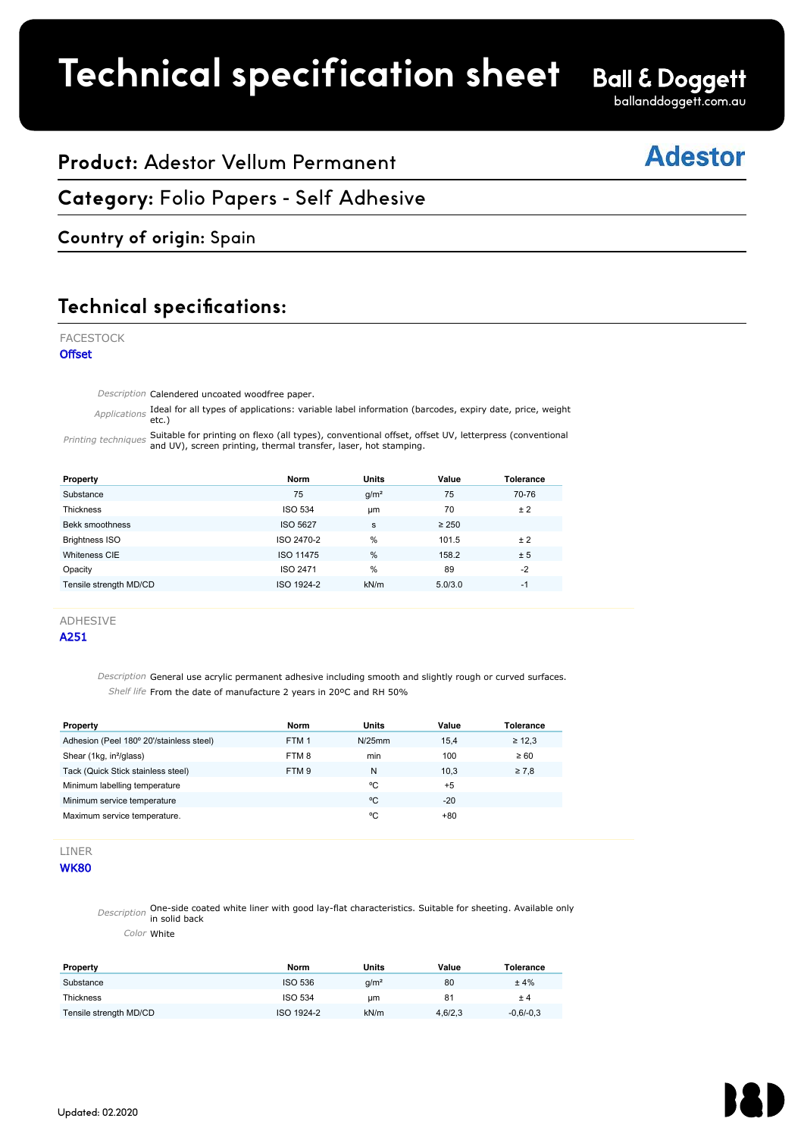# **Technical specification sheet**

# **Ball & Doggett**

ballanddoggett.com.au

# **Adestor**

# **Product:** Adestor Vellum Permanent

### **Category:** Folio Papers - Self Adhesive  $\overline{\phantom{a}}$  . The state of  $\overline{\phantom{a}}$

# **Country of origin:** Spain

## **Technical specifications:** A ESTIMAT SPECIALISMS.

#### FACESTOCK

**Offset** 

Description Calendered uncoated woodfree paper.

Applications **Ideal for all types of applications: variable label information (barcodes, expiry date, price, weight**<br>etc.) ell hunge of continetiener revieble lebel information (bevenden, erwing data, maine rusiable

Printing techniques Suitable for printing on flexo (all types), conventional offset, offset UV, letterpress (conventional<br>Printing techniques and UV), screen printing, thermal transfer, laser, hot stamping. 92 screen printing thermal transfer laser hot stamping

| Property                                                                                                                                                                                                   | <b>Norm</b>                     | Units           | Value         | <b>Tolerance</b>                |
|------------------------------------------------------------------------------------------------------------------------------------------------------------------------------------------------------------|---------------------------------|-----------------|---------------|---------------------------------|
| Substance                                                                                                                                                                                                  | 75                              | $q/m^2$         | 75            | 70-76                           |
| Thickness                                                                                                                                                                                                  | <b>ISO 534</b>                  | <b>um</b>       | 70            | ± 2                             |
| Bekk smoothness                                                                                                                                                                                            | <b>ISO 5627</b>                 | s               | $\geq 250$    |                                 |
| <b>Brightness ISO</b>                                                                                                                                                                                      | ISO 2470-2                      | %               | 101.5         | ± 2                             |
| Whiteness CIE                                                                                                                                                                                              | <b>ISO 11475</b>                | %               | 158.2         | ± 5                             |
| Opacity                                                                                                                                                                                                    | ISO 2471                        | %               | 89            | $-2$                            |
| Tensile strength MD/CD                                                                                                                                                                                     | ISO 1924-2                      | kN/m            | 5.0/3.0       | $-1$                            |
|                                                                                                                                                                                                            |                                 |                 |               |                                 |
| <b>ADHESIVE</b><br>A251<br>Description General use acrylic permanent adhesive including smooth and slightly rough or curved surfaces<br>Shelf life From the date of manufacture 2 years in 20°C and RH 50% |                                 |                 |               |                                 |
| Property<br>Adhesion (Peel 180° 20'/stainless steel)                                                                                                                                                       | <b>Norm</b><br>FTM <sub>1</sub> | Units<br>N/25mm | Value<br>15,4 | <b>Tolerance</b><br>$\geq 12.3$ |
| Chour (4ka in <sup>2</sup> /alron)                                                                                                                                                                         | <b>ETMO</b>                     | min             | 100           | $\sim$ $\Omega$                 |

#### ADHESIVE

#### A251

Description General use acrylic permanent adhesive including smooth and slightly rough or curved surfaces. Shelf life From the date of manufacture 2 years in 20°C and RH 50%

| Property                                 | Norm             | <b>Units</b> | Value | Tolerance   |
|------------------------------------------|------------------|--------------|-------|-------------|
| Adhesion (Peel 180° 20'/stainless steel) | FTM <sub>1</sub> | $N/25$ mm    | 15.4  | $\geq 12.3$ |
| Shear (1kg, in <sup>2</sup> /glass)      | FTM 8            | min          | 100   | $\geq 60$   |
| Tack (Quick Stick stainless steel)       | FTM 9            | N            | 10.3  | $\geq 7.8$  |
| Minimum labelling temperature            |                  | ۰c           | $+5$  |             |
| Minimum service temperature              |                  | °C           | $-20$ |             |
| Maximum service temperature.             |                  | °C           | +80   |             |

## LINER

**WK80** 

Description **One-side coated white liner with good lay-flat characteristics. Suitable for sheeting. Available only**<br>in solid back

Color White

| Property               | Norm           | Units   | Value   | Tolerance   |
|------------------------|----------------|---------|---------|-------------|
| Substance              | ISO 536        | $q/m^2$ | 80      | ±4%         |
| <b>Thickness</b>       | <b>ISO 534</b> | um      | 81      | ±4          |
| Tensile strength MD/CD | ISO 1924-2     | kN/m    | 4,6/2,3 | $-0.6/-0.3$ |